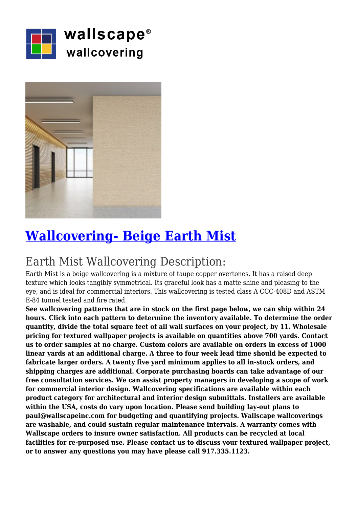



## **[Wallcovering- Beige Earth Mist](https://wallscapeinc.com/wallcovering/wallcovering-earth-mist/)**

## Earth Mist Wallcovering Description:

Earth Mist is a beige wallcovering is a mixture of taupe copper overtones. It has a raised deep texture which looks tangibly symmetrical. Its graceful look has a matte shine and pleasing to the eye, and is ideal for commercial interiors. This wallcovering is tested class A CCC-408D and ASTM E-84 tunnel tested and fire rated.

**See wallcovering patterns that are in stock on the first page below, we can ship within 24 hours. Click into each pattern to determine the inventory available. To determine the order quantity, divide the total square feet of all wall surfaces on your project, by 11. Wholesale pricing for textured wallpaper projects is available on quantities above 700 yards. Contact us to order samples at no charge. Custom colors are available on orders in excess of 1000 linear yards at an additional charge. A three to four week lead time should be expected to fabricate larger orders. A twenty five yard minimum applies to all in-stock orders, and shipping charges are additional. Corporate purchasing boards can take advantage of our free consultation services. We can assist property managers in developing a scope of work for commercial interior design. Wallcovering specifications are available within each product category for architectural and interior design submittals. Installers are available within the USA, costs do vary upon location. Please send building lay-out plans to paul@wallscapeinc.com for budgeting and quantifying projects. Wallscape wallcoverings are washable, and could sustain regular maintenance intervals. A warranty comes with Wallscape orders to insure owner satisfaction. All products can be recycled at local facilities for re-purposed use. Please contact us to discuss your textured wallpaper project, or to answer any questions you may have please call 917.335.1123.**